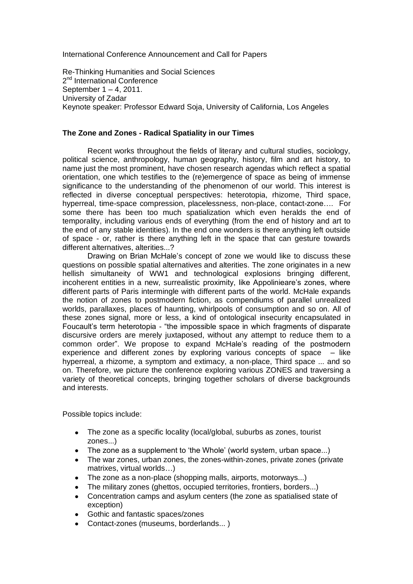International Conference Announcement and Call for Papers

Re-Thinking Humanities and Social Sciences 2<sup>nd</sup> International Conference September 1 – 4, 2011. University of Zadar Keynote speaker: Professor Edward Soja, University of California, Los Angeles

## **The Zone and Zones - Radical Spatiality in our Times**

Recent works throughout the fields of literary and cultural studies, sociology, political science, anthropology, human geography, history, film and art history, to name just the most prominent, have chosen research agendas which reflect a spatial orientation, one which testifies to the (re)emergence of space as being of immense significance to the understanding of the phenomenon of our world. This interest is reflected in diverse conceptual perspectives: heterotopia, rhizome, Third space, hyperreal, time-space compression, placelessness, non-place, contact-zone…. For some there has been too much spatialization which even heralds the end of temporality, including various ends of everything (from the end of history and art to the end of any stable identities). In the end one wonders is there anything left outside of space - or, rather is there anything left in the space that can gesture towards different alternatives, alterities...?

Drawing on Brian McHale"s concept of zone we would like to discuss these questions on possible spatial alternatives and alterities. The zone originates in a new hellish simultaneity of WW1 and technological explosions bringing different, incoherent entities in a new, surrealistic proximity, like Appolinieare's zones, where different parts of Paris intermingle with different parts of the world. McHale expands the notion of zones to postmodern fiction, as compendiums of parallel unrealized worlds, parallaxes, places of haunting, whirlpools of consumption and so on. All of these zones signal, more or less, a kind of ontological insecurity encapsulated in Foucault"s term heterotopia - "the impossible space in which fragments of disparate discursive orders are merely juxtaposed, without any attempt to reduce them to a common order". We propose to expand McHale"s reading of the postmodern experience and different zones by exploring various concepts of space  $-$  like hyperreal, a rhizome, a symptom and extimacy, a non-place, Third space ... and so on. Therefore, we picture the conference exploring various ZONES and traversing a variety of theoretical concepts, bringing together scholars of diverse backgrounds and interests.

Possible topics include:

- The zone as a specific locality (local/global, suburbs as zones, tourist zones...)
- The zone as a supplement to 'the Whole' (world system, urban space...)
- The war zones, urban zones, the zones-within-zones, private zones (private matrixes, virtual worlds…)
- The zone as a non-place (shopping malls, airports, motorways...)
- The military zones (ghettos, occupied territories, frontiers, borders...)
- Concentration camps and asylum centers (the zone as spatialised state of exception)
- Gothic and fantastic spaces/zones
- Contact-zones (museums, borderlands... )